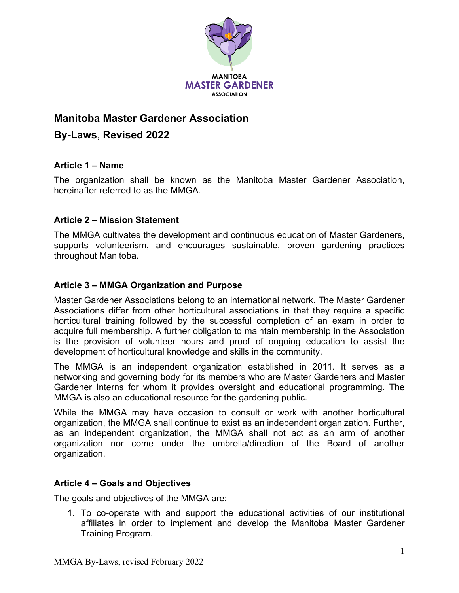

## **Manitoba Master Gardener Association**

# **By-Laws**, **Revised 2022**

### **Article 1 – Name**

The organization shall be known as the Manitoba Master Gardener Association, hereinafter referred to as the MMGA.

## **Article 2 – Mission Statement**

The MMGA cultivates the development and continuous education of Master Gardeners, supports volunteerism, and encourages sustainable, proven gardening practices throughout Manitoba.

## **Article 3 – MMGA Organization and Purpose**

Master Gardener Associations belong to an international network. The Master Gardener Associations differ from other horticultural associations in that they require a specific horticultural training followed by the successful completion of an exam in order to acquire full membership. A further obligation to maintain membership in the Association is the provision of volunteer hours and proof of ongoing education to assist the development of horticultural knowledge and skills in the community.

The MMGA is an independent organization established in 2011. It serves as a networking and governing body for its members who are Master Gardeners and Master Gardener Interns for whom it provides oversight and educational programming. The MMGA is also an educational resource for the gardening public.

While the MMGA may have occasion to consult or work with another horticultural organization, the MMGA shall continue to exist as an independent organization. Further, as an independent organization, the MMGA shall not act as an arm of another organization nor come under the umbrella/direction of the Board of another organization.

## **Article 4 – Goals and Objectives**

The goals and objectives of the MMGA are:

1. To co-operate with and support the educational activities of our institutional affiliates in order to implement and develop the Manitoba Master Gardener Training Program.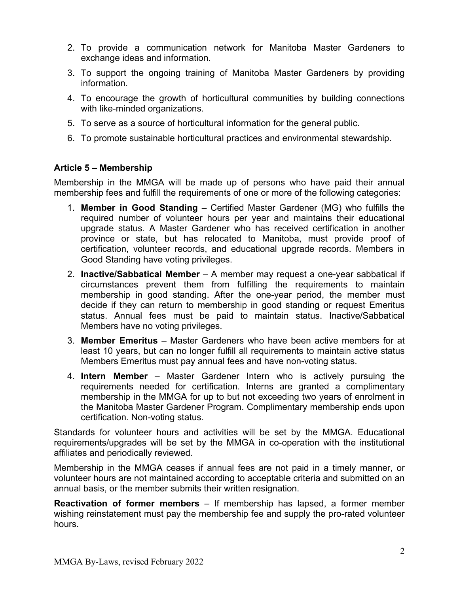- 2. To provide a communication network for Manitoba Master Gardeners to exchange ideas and information.
- 3. To support the ongoing training of Manitoba Master Gardeners by providing information.
- 4. To encourage the growth of horticultural communities by building connections with like-minded organizations.
- 5. To serve as a source of horticultural information for the general public.
- 6. To promote sustainable horticultural practices and environmental stewardship.

#### **Article 5 – Membership**

Membership in the MMGA will be made up of persons who have paid their annual membership fees and fulfill the requirements of one or more of the following categories:

- 1. **Member in Good Standing** Certified Master Gardener (MG) who fulfills the required number of volunteer hours per year and maintains their educational upgrade status. A Master Gardener who has received certification in another province or state, but has relocated to Manitoba, must provide proof of certification, volunteer records, and educational upgrade records. Members in Good Standing have voting privileges.
- 2. **Inactive/Sabbatical Member** A member may request a one-year sabbatical if circumstances prevent them from fulfilling the requirements to maintain membership in good standing. After the one-year period, the member must decide if they can return to membership in good standing or request Emeritus status. Annual fees must be paid to maintain status. Inactive/Sabbatical Members have no voting privileges.
- 3. **Member Emeritus** Master Gardeners who have been active members for at least 10 years, but can no longer fulfill all requirements to maintain active status Members Emeritus must pay annual fees and have non-voting status.
- 4. **Intern Member** Master Gardener Intern who is actively pursuing the requirements needed for certification. Interns are granted a complimentary membership in the MMGA for up to but not exceeding two years of enrolment in the Manitoba Master Gardener Program. Complimentary membership ends upon certification. Non-voting status.

Standards for volunteer hours and activities will be set by the MMGA. Educational requirements/upgrades will be set by the MMGA in co-operation with the institutional affiliates and periodically reviewed.

Membership in the MMGA ceases if annual fees are not paid in a timely manner, or volunteer hours are not maintained according to acceptable criteria and submitted on an annual basis, or the member submits their written resignation.

**Reactivation of former members** – If membership has lapsed, a former member wishing reinstatement must pay the membership fee and supply the pro-rated volunteer hours.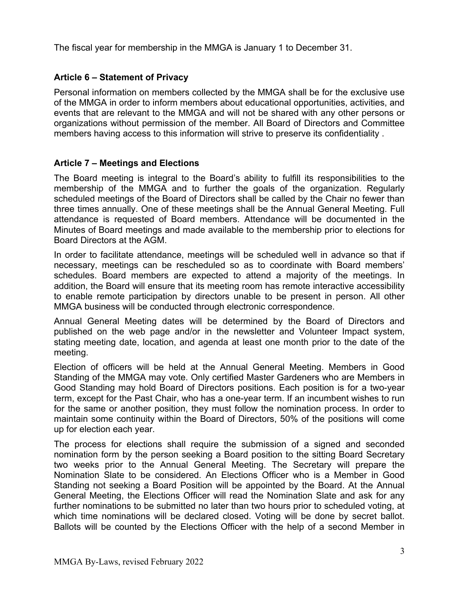The fiscal year for membership in the MMGA is January 1 to December 31.

## **Article 6 – Statement of Privacy**

Personal information on members collected by the MMGA shall be for the exclusive use of the MMGA in order to inform members about educational opportunities, activities, and events that are relevant to the MMGA and will not be shared with any other persons or organizations without permission of the member. All Board of Directors and Committee members having access to this information will strive to preserve its confidentiality .

#### **Article 7 – Meetings and Elections**

The Board meeting is integral to the Board's ability to fulfill its responsibilities to the membership of the MMGA and to further the goals of the organization. Regularly scheduled meetings of the Board of Directors shall be called by the Chair no fewer than three times annually. One of these meetings shall be the Annual General Meeting. Full attendance is requested of Board members. Attendance will be documented in the Minutes of Board meetings and made available to the membership prior to elections for Board Directors at the AGM.

In order to facilitate attendance, meetings will be scheduled well in advance so that if necessary, meetings can be rescheduled so as to coordinate with Board members' schedules. Board members are expected to attend a majority of the meetings. In addition, the Board will ensure that its meeting room has remote interactive accessibility to enable remote participation by directors unable to be present in person. All other MMGA business will be conducted through electronic correspondence.

Annual General Meeting dates will be determined by the Board of Directors and published on the web page and/or in the newsletter and Volunteer Impact system, stating meeting date, location, and agenda at least one month prior to the date of the meeting.

Election of officers will be held at the Annual General Meeting. Members in Good Standing of the MMGA may vote. Only certified Master Gardeners who are Members in Good Standing may hold Board of Directors positions. Each position is for a two-year term, except for the Past Chair, who has a one-year term. If an incumbent wishes to run for the same or another position, they must follow the nomination process. In order to maintain some continuity within the Board of Directors, 50% of the positions will come up for election each year.

The process for elections shall require the submission of a signed and seconded nomination form by the person seeking a Board position to the sitting Board Secretary two weeks prior to the Annual General Meeting. The Secretary will prepare the Nomination Slate to be considered. An Elections Officer who is a Member in Good Standing not seeking a Board Position will be appointed by the Board. At the Annual General Meeting, the Elections Officer will read the Nomination Slate and ask for any further nominations to be submitted no later than two hours prior to scheduled voting, at which time nominations will be declared closed. Voting will be done by secret ballot. Ballots will be counted by the Elections Officer with the help of a second Member in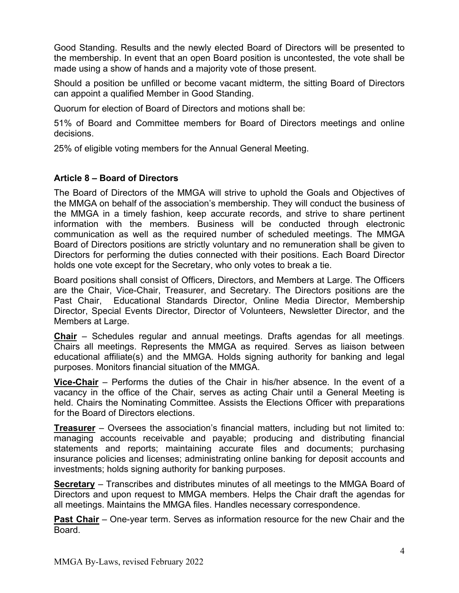Good Standing. Results and the newly elected Board of Directors will be presented to the membership. In event that an open Board position is uncontested, the vote shall be made using a show of hands and a majority vote of those present.

Should a position be unfilled or become vacant midterm, the sitting Board of Directors can appoint a qualified Member in Good Standing.

Quorum for election of Board of Directors and motions shall be:

51% of Board and Committee members for Board of Directors meetings and online decisions.

25% of eligible voting members for the Annual General Meeting.

## **Article 8 – Board of Directors**

The Board of Directors of the MMGA will strive to uphold the Goals and Objectives of the MMGA on behalf of the association's membership. They will conduct the business of the MMGA in a timely fashion, keep accurate records, and strive to share pertinent information with the members. Business will be conducted through electronic communication as well as the required number of scheduled meetings. The MMGA Board of Directors positions are strictly voluntary and no remuneration shall be given to Directors for performing the duties connected with their positions. Each Board Director holds one vote except for the Secretary, who only votes to break a tie.

Board positions shall consist of Officers, Directors, and Members at Large. The Officers are the Chair, Vice-Chair, Treasurer, and Secretary. The Directors positions are the Past Chair, Educational Standards Director, Online Media Director, Membership Director, Special Events Director, Director of Volunteers, Newsletter Director, and the Members at Large.

**Chair** – Schedules regular and annual meetings. Drafts agendas for all meetings. Chairs all meetings. Represents the MMGA as required. Serves as liaison between educational affiliate(s) and the MMGA. Holds signing authority for banking and legal purposes. Monitors financial situation of the MMGA.

**Vice-Chair** – Performs the duties of the Chair in his/her absence. In the event of a vacancy in the office of the Chair, serves as acting Chair until a General Meeting is held. Chairs the Nominating Committee. Assists the Elections Officer with preparations for the Board of Directors elections.

**Treasurer** – Oversees the association's financial matters, including but not limited to: managing accounts receivable and payable; producing and distributing financial statements and reports; maintaining accurate files and documents; purchasing insurance policies and licenses; administrating online banking for deposit accounts and investments; holds signing authority for banking purposes.

**Secretary** – Transcribes and distributes minutes of all meetings to the MMGA Board of Directors and upon request to MMGA members. Helps the Chair draft the agendas for all meetings. Maintains the MMGA files. Handles necessary correspondence.

**Past Chair** – One-year term. Serves as information resource for the new Chair and the Board.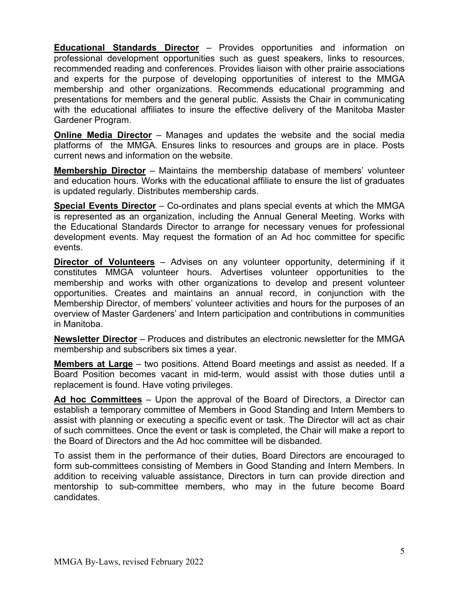**Educational Standards Director** – Provides opportunities and information on professional development opportunities such as guest speakers, links to resources, recommended reading and conferences. Provides liaison with other prairie associations and experts for the purpose of developing opportunities of interest to the MMGA membership and other organizations. Recommends educational programming and presentations for members and the general public. Assists the Chair in communicating with the educational affiliates to insure the effective delivery of the Manitoba Master Gardener Program.

**Online Media Director** – Manages and updates the website and the social media platforms of the MMGA. Ensures links to resources and groups are in place. Posts current news and information on the website.

**Membership Director** – Maintains the membership database of members' volunteer and education hours. Works with the educational affiliate to ensure the list of graduates is updated regularly. Distributes membership cards.

**Special Events Director** – Co-ordinates and plans special events at which the MMGA is represented as an organization, including the Annual General Meeting. Works with the Educational Standards Director to arrange for necessary venues for professional development events. May request the formation of an Ad hoc committee for specific events.

**Director of Volunteers** – Advises on any volunteer opportunity, determining if it constitutes MMGA volunteer hours. Advertises volunteer opportunities to the membership and works with other organizations to develop and present volunteer opportunities. Creates and maintains an annual record, in conjunction with the Membership Director, of members' volunteer activities and hours for the purposes of an overview of Master Gardeners' and Intern participation and contributions in communities in Manitoba.

**Newsletter Director** – Produces and distributes an electronic newsletter for the MMGA membership and subscribers six times a year.

**Members at Large** – two positions. Attend Board meetings and assist as needed. If a Board Position becomes vacant in mid-term, would assist with those duties until a replacement is found. Have voting privileges.

**Ad hoc Committees** – Upon the approval of the Board of Directors, a Director can establish a temporary committee of Members in Good Standing and Intern Members to assist with planning or executing a specific event or task. The Director will act as chair of such committees. Once the event or task is completed, the Chair will make a report to the Board of Directors and the Ad hoc committee will be disbanded.

To assist them in the performance of their duties, Board Directors are encouraged to form sub-committees consisting of Members in Good Standing and Intern Members. In addition to receiving valuable assistance, Directors in turn can provide direction and mentorship to sub-committee members, who may in the future become Board candidates.